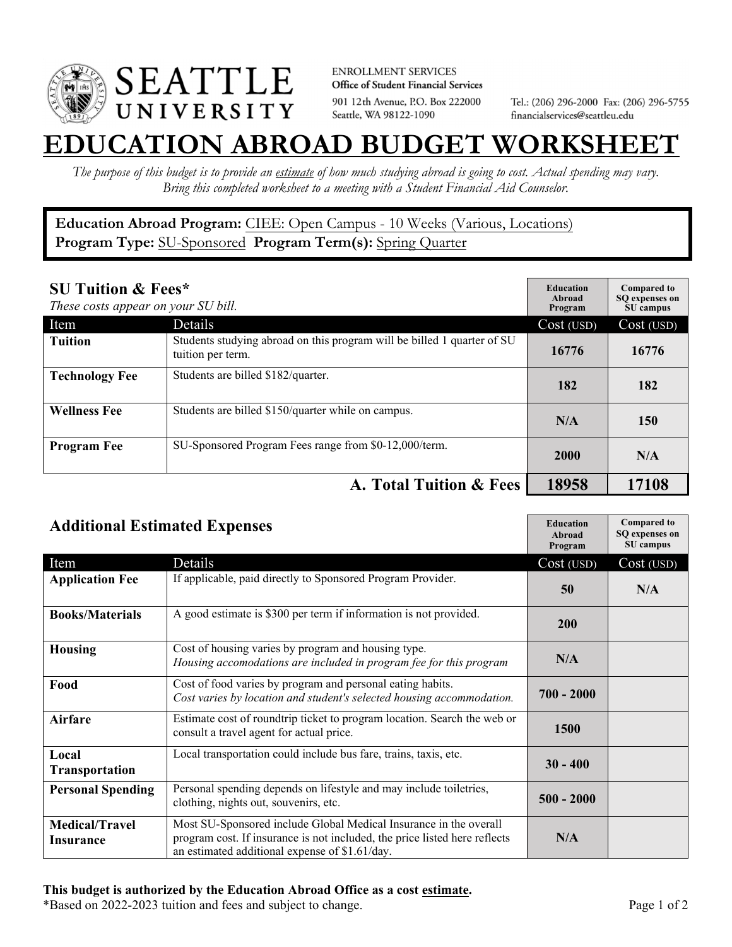

**ENROLLMENT SERVICES** Office of Student Financial Services 901 12th Avenue, P.O. Box 222000 Seattle, WA 98122-1090

Tel.: (206) 296-2000 Fax: (206) 296-5755 financialservices@seattleu.edu

## **EATION ABROAD BUDGET WORKSHEE**

*The purpose of this budget is to provide an estimate of how much studying abroad is going to cost. Actual spending may vary. Bring this completed worksheet to a meeting with a Student Financial Aid Counselor.* 

## **Education Abroad Program:** CIEE: Open Campus - 10 Weeks (Various, Locations) **Program Type:** SU-Sponsored **Program Term(s):** Spring Quarter

| <b>SU Tuition &amp; Fees*</b><br>These costs appear on your SU bill. |                                                                                              | <b>Education</b><br>Abroad<br>Program | <b>Compared to</b><br>SO expenses on<br>SU campus |
|----------------------------------------------------------------------|----------------------------------------------------------------------------------------------|---------------------------------------|---------------------------------------------------|
| Item                                                                 | Details                                                                                      | Cost (USD)                            | Cost (USD)                                        |
| <b>Tuition</b>                                                       | Students studying abroad on this program will be billed 1 quarter of SU<br>tuition per term. | 16776                                 | 16776                                             |
| <b>Technology Fee</b>                                                | Students are billed \$182/quarter.                                                           | 182                                   | 182                                               |
| <b>Wellness Fee</b>                                                  | Students are billed \$150/quarter while on campus.                                           | N/A                                   | 150                                               |
| <b>Program Fee</b>                                                   | SU-Sponsored Program Fees range from \$0-12,000/term.                                        | 2000                                  | N/A                                               |
|                                                                      | A. Total Tuition & Fees                                                                      | 18958                                 | 17108                                             |

| <b>Additional Estimated Expenses</b> |                                                                                                                                                                                                   | <b>Education</b><br>Abroad<br>Program | <b>Compared to</b><br>SQ expenses on<br>SU campus |
|--------------------------------------|---------------------------------------------------------------------------------------------------------------------------------------------------------------------------------------------------|---------------------------------------|---------------------------------------------------|
| Item                                 | Details                                                                                                                                                                                           | Cost (USD)                            | Cost (USD)                                        |
| <b>Application Fee</b>               | If applicable, paid directly to Sponsored Program Provider.                                                                                                                                       | 50                                    | N/A                                               |
| <b>Books/Materials</b>               | A good estimate is \$300 per term if information is not provided.                                                                                                                                 | 200                                   |                                                   |
| <b>Housing</b>                       | Cost of housing varies by program and housing type.<br>Housing accomodations are included in program fee for this program                                                                         | N/A                                   |                                                   |
| Food                                 | Cost of food varies by program and personal eating habits.<br>Cost varies by location and student's selected housing accommodation.                                                               | $700 - 2000$                          |                                                   |
| <b>Airfare</b>                       | Estimate cost of roundtrip ticket to program location. Search the web or<br>consult a travel agent for actual price.                                                                              | 1500                                  |                                                   |
| Local<br><b>Transportation</b>       | Local transportation could include bus fare, trains, taxis, etc.                                                                                                                                  | $30 - 400$                            |                                                   |
| <b>Personal Spending</b>             | Personal spending depends on lifestyle and may include toiletries,<br>clothing, nights out, souvenirs, etc.                                                                                       | $500 - 2000$                          |                                                   |
| <b>Medical/Travel</b><br>Insurance   | Most SU-Sponsored include Global Medical Insurance in the overall<br>program cost. If insurance is not included, the price listed here reflects<br>an estimated additional expense of \$1.61/day. | N/A                                   |                                                   |

\*Based on 2022-2023 tuition and fees and subject to change. Page 1 of 2